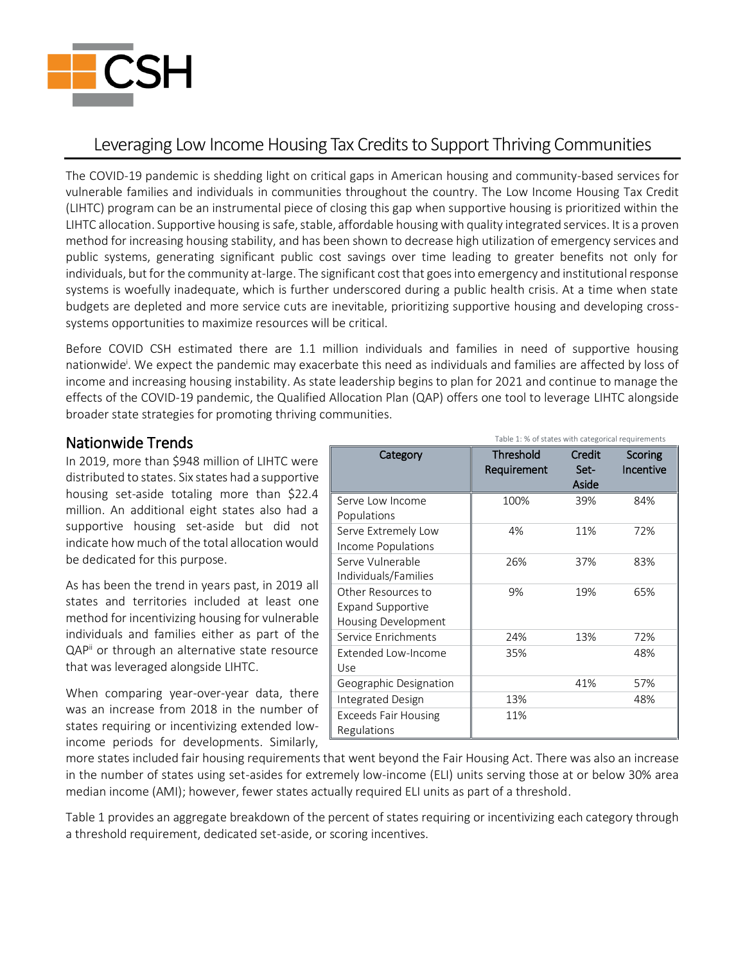

# Leveraging Low Income Housing Tax Credits to Support Thriving Communities

The COVID-19 pandemic is shedding light on critical gaps in American housing and community-based services for vulnerable families and individuals in communities throughout the country. The Low Income Housing Tax Credit (LIHTC) program can be an instrumental piece of closing this gap when supportive housing is prioritized within the LIHTC allocation. Supportive housing is safe, stable, affordable housing with quality integrated services. It is a proven method for increasing housing stability, and has been shown to decrease high utilization of emergency services and public systems, generating significant public cost savings over time leading to greater benefits not only for individuals, but for the community at-large. The significant cost that goes into emergency and institutional response systems is woefully inadequate, which is further underscored during a public health crisis. At a time when state budgets are depleted and more service cuts are inevitable, prioritizing supportive housing and developing crosssystems opportunities to maximize resources will be critical.

Before COVID CSH estimated there are 1.1 million individuals and families in need of supportive housing nationwide<sup>i</sup>. We expect the pandemic may exacerbate this need as individuals and families are affected by loss of income and increasing housing instability. As state leadership begins to plan for 2021 and continue to manage the effects of the COVID-19 pandemic, the Qualified Allocation Plan (QAP) offers one tool to leverage LIHTC alongside broader state strategies for promoting thriving communities.

### Nationwide Trends

In 2019, more than \$948 million of LIHTC were distributed to states. Six states had a supportive housing set-aside totaling more than \$22.4 million. An additional eight states also had a supportive housing set-aside but did not indicate how much of the total allocation would be dedicated for this purpose.

As has been the trend in years past, in 2019 all states and territories included at least one method for incentivizing housing for vulnerable individuals and families either as part of the QAP<sup>ii</sup> or through an alternative state resource that was leveraged alongside LIHTC.

When comparing year-over-year data, there was an increase from 2018 in the number of states requiring or incentivizing extended lowincome periods for developments. Similarly,

| Category                    | <b>Threshold</b><br>Requirement | Credit<br>Set-<br>Aside | Scoring<br>Incentive |
|-----------------------------|---------------------------------|-------------------------|----------------------|
| Serve Low Income            | 100%                            | 39%                     | 84%                  |
| Populations                 |                                 |                         |                      |
| Serve Extremely Low         | 4%                              | 11%                     | 72%                  |
| Income Populations          |                                 |                         |                      |
| Serve Vulnerable            | 26%                             | 37%                     | 83%                  |
| Individuals/Families        |                                 |                         |                      |
| Other Resources to          | 9%                              | 19%                     | 65%                  |
| <b>Expand Supportive</b>    |                                 |                         |                      |
| Housing Development         |                                 |                         |                      |
| Service Enrichments         | 24%                             | 13%                     | 72%                  |
| Extended Low-Income         | 35%                             |                         | 48%                  |
| Use                         |                                 |                         |                      |
| Geographic Designation      |                                 | 41%                     | 57%                  |
| <b>Integrated Design</b>    | 13%                             |                         | 48%                  |
| <b>Exceeds Fair Housing</b> | 11%                             |                         |                      |
| Regulations                 |                                 |                         |                      |

Table 1: % of states with categorical requirements

more states included fair housing requirements that went beyond the Fair Housing Act. There was also an increase in the number of states using set-asides for extremely low-income (ELI) units serving those at or below 30% area median income (AMI); however, fewer states actually required ELI units as part of a threshold.

Table 1 provides an aggregate breakdown of the percent of states requiring or incentivizing each category through a threshold requirement, dedicated set-aside, or scoring incentives.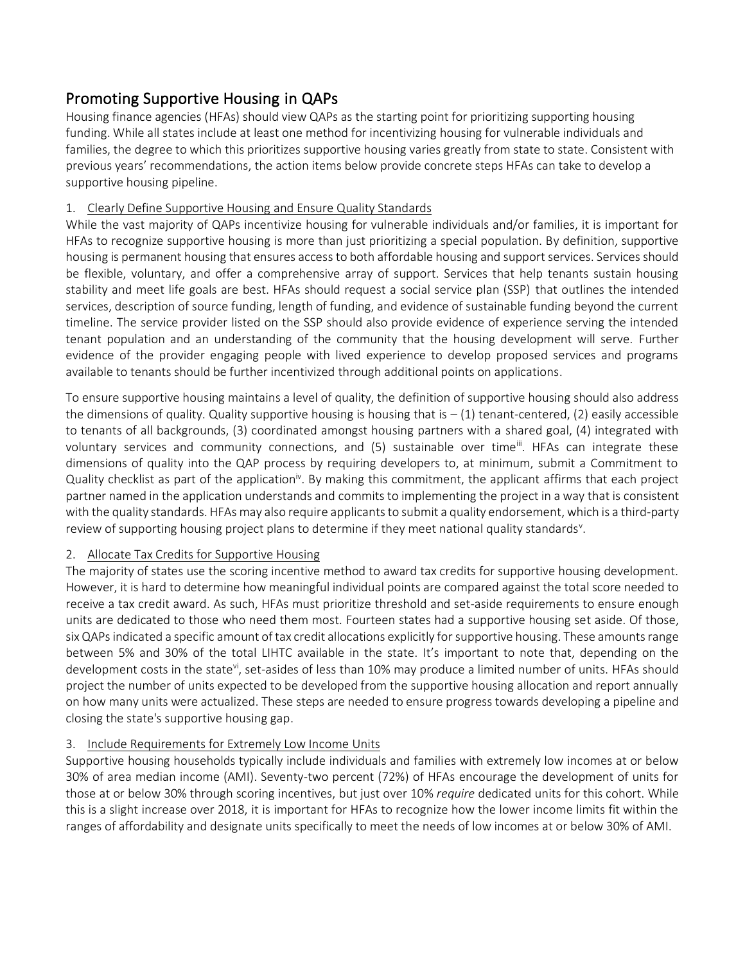## Promoting Supportive Housing in QAPs

Housing finance agencies (HFAs) should view QAPs as the starting point for prioritizing supporting housing funding. While all states include at least one method for incentivizing housing for vulnerable individuals and families, the degree to which this prioritizes supportive housing varies greatly from state to state. Consistent with previous years' recommendations, the action items below provide concrete steps HFAs can take to develop a supportive housing pipeline.

#### 1. Clearly Define Supportive Housing and Ensure Quality Standards

While the vast majority of QAPs incentivize housing for vulnerable individuals and/or families, it is important for HFAs to recognize supportive housing is more than just prioritizing a special population. By definition, supportive housing is permanent housing that ensures access to both affordable housing and support services. Services should be flexible, voluntary, and offer a comprehensive array of support. Services that help tenants sustain housing stability and meet life goals are best. HFAs should request a social service plan (SSP) that outlines the intended services, description of source funding, length of funding, and evidence of sustainable funding beyond the current timeline. The service provider listed on the SSP should also provide evidence of experience serving the intended tenant population and an understanding of the community that the housing development will serve. Further evidence of the provider engaging people with lived experience to develop proposed services and programs available to tenants should be further incentivized through additional points on applications.

To ensure supportive housing maintains a level of quality, the definition of supportive housing should also address the dimensions of quality. Quality supportive housing is housing that is  $-(1)$  tenant-centered, (2) easily accessible to tenants of all backgrounds, (3) coordinated amongst housing partners with a shared goal, (4) integrated with voluntary services and community connections, and (5) sustainable over time<sup>iii</sup>. HFAs can integrate these dimensions of quality into the QAP process by requiring developers to, at minimum, submit a Commitment to Quality checklist as part of the application<sup>iv</sup>. By making this commitment, the applicant affirms that each project partner named in the application understands and commits to implementing the project in a way that is consistent with the quality standards. HFAs may also require applicants to submit a quality endorsement, which is a third-party review of supporting housing project plans to determine if they meet national quality standards<sup>v</sup>.

#### 2. Allocate Tax Credits for Supportive Housing

The majority of states use the scoring incentive method to award tax credits for supportive housing development. However, it is hard to determine how meaningful individual points are compared against the total score needed to receive a tax credit award. As such, HFAs must prioritize threshold and set-aside requirements to ensure enough units are dedicated to those who need them most. Fourteen states had a supportive housing set aside. Of those, six QAPs indicated a specific amount of tax credit allocations explicitly for supportive housing. These amounts range between 5% and 30% of the total LIHTC available in the state. It's important to note that, depending on the development costs in the state<sup>vi</sup>, set-asides of less than 10% may produce a limited number of units. HFAs should project the number of units expected to be developed from the supportive housing allocation and report annually on how many units were actualized. These steps are needed to ensure progress towards developing a pipeline and closing the state's supportive housing gap.

#### 3. Include Requirements for Extremely Low Income Units

Supportive housing households typically include individuals and families with extremely low incomes at or below 30% of area median income (AMI). Seventy-two percent (72%) of HFAs encourage the development of units for those at or below 30% through scoring incentives, but just over 10% *require* dedicated units for this cohort. While this is a slight increase over 2018, it is important for HFAs to recognize how the lower income limits fit within the ranges of affordability and designate units specifically to meet the needs of low incomes at or below 30% of AMI.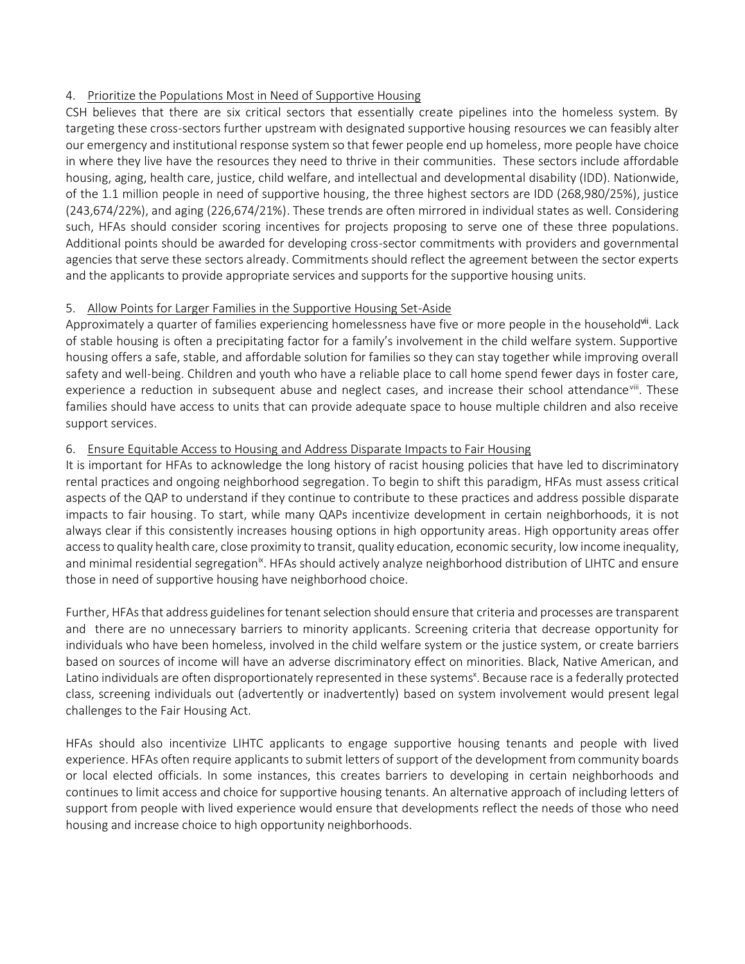#### 4. Prioritize the Populations Most in Need of Supportive Housing

CSH believes that there are six critical sectors that essentially create pipelines into the homeless system. By targeting these cross-sectors further upstream with designated supportive housing resources we can feasibly alter our emergency and institutional response system so that fewer people end up homeless, more people have choice in where they live have the resources they need to thrive in their communities. These sectors include affordable housing, aging, health care, justice, child welfare, and intellectual and developmental disability (IDD). Nationwide, of the 1.1 million people in need of supportive housing, the three highest sectors are IDD (268,980/25%), justice (243,674/22%), and aging (226,674/21%). These trends are often mirrored in individual states as well. Considering such, HFAs should consider scoring incentives for projects proposing to serve one of these three populations. Additional points should be awarded for developing cross-sector commitments with providers and governmental agencies that serve these sectors already. Commitments should reflect the agreement between the sector experts and the applicants to provide appropriate services and supports for the supportive housing units.

#### 5. Allow Points for Larger Families in the Supportive Housing Set-Aside

Approximately a quarter of families experiencing homelessness have five or more people in the household<sup>vii</sup>. Lack of stable housing is often a precipitating factor for a family's involvement in the child welfare system. Supportive housing offers a safe, stable, and affordable solution for families so they can stay together while improving overall safety and well-being. Children and youth who have a reliable place to call home spend fewer days in foster care, experience a reduction in subsequent abuse and neglect cases, and increase their school attendance<sup>viii</sup>. These families should have access to units that can provide adequate space to house multiple children and also receive support services.

#### 6. Ensure Equitable Access to Housing and Address Disparate Impacts to Fair Housing

It is important for HFAs to acknowledge the long history of racist housing policies that have led to discriminatory rental practices and ongoing neighborhood segregation. To begin to shift this paradigm, HFAs must assess critical aspects of the QAP to understand if they continue to contribute to these practices and address possible disparate impacts to fair housing. To start, while many QAPs incentivize development in certain neighborhoods, it is not always clear if this consistently increases housing options in high opportunity areas. High opportunity areas offer access to quality health care, close proximity to transit, quality education, economic security, low income inequality, and minimal residential segregation<sup>ix</sup>. HFAs should actively analyze neighborhood distribution of LIHTC and ensure those in need of supportive housing have neighborhood choice.

Further, HFAsthat address guidelines for tenant selection should ensure that criteria and processes are transparent and there are no unnecessary barriers to minority applicants. Screening criteria that decrease opportunity for individuals who have been homeless, involved in the child welfare system or the justice system, or create barriers based on sources of income will have an adverse discriminatory effect on minorities. Black, Native American, and Latino individuals are often disproportionately represented in these systems<sup>x</sup>. Because race is a federally protected class, screening individuals out (advertently or inadvertently) based on system involvement would present legal challenges to the Fair Housing Act.

HFAs should also incentivize LIHTC applicants to engage supportive housing tenants and people with lived experience. HFAs often require applicants to submit letters of support of the development from community boards or local elected officials. In some instances, this creates barriers to developing in certain neighborhoods and continues to limit access and choice for supportive housing tenants. An alternative approach of including letters of support from people with lived experience would ensure that developments reflect the needs of those who need housing and increase choice to high opportunity neighborhoods.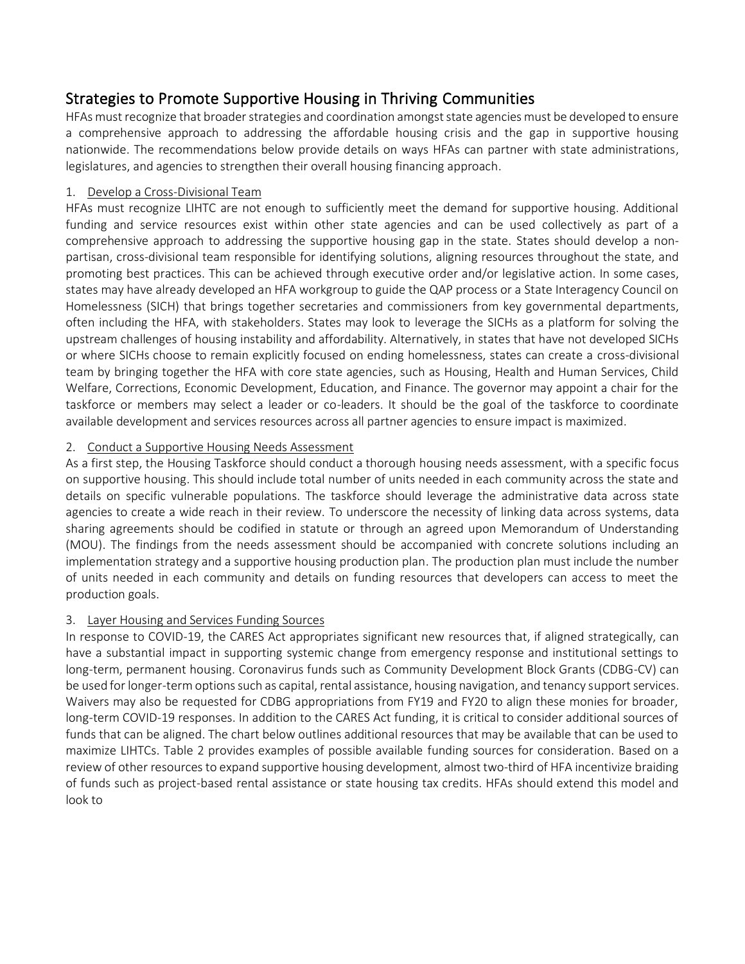### Strategies to Promote Supportive Housing in Thriving Communities

HFAs must recognize that broader strategies and coordination amongst state agencies must be developed to ensure a comprehensive approach to addressing the affordable housing crisis and the gap in supportive housing nationwide. The recommendations below provide details on ways HFAs can partner with state administrations, legislatures, and agencies to strengthen their overall housing financing approach.

#### 1. Develop a Cross-Divisional Team

HFAs must recognize LIHTC are not enough to sufficiently meet the demand for supportive housing. Additional funding and service resources exist within other state agencies and can be used collectively as part of a comprehensive approach to addressing the supportive housing gap in the state. States should develop a nonpartisan, cross-divisional team responsible for identifying solutions, aligning resources throughout the state, and promoting best practices. This can be achieved through executive order and/or legislative action. In some cases, states may have already developed an HFA workgroup to guide the QAP process or a State Interagency Council on Homelessness (SICH) that brings together secretaries and commissioners from key governmental departments, often including the HFA, with stakeholders. States may look to leverage the SICHs as a platform for solving the upstream challenges of housing instability and affordability. Alternatively, in states that have not developed SICHs or where SICHs choose to remain explicitly focused on ending homelessness, states can create a cross-divisional team by bringing together the HFA with core state agencies, such as Housing, Health and Human Services, Child Welfare, Corrections, Economic Development, Education, and Finance. The governor may appoint a chair for the taskforce or members may select a leader or co-leaders. It should be the goal of the taskforce to coordinate available development and services resources across all partner agencies to ensure impact is maximized.

#### 2. Conduct a Supportive Housing Needs Assessment

As a first step, the Housing Taskforce should conduct a thorough housing needs assessment, with a specific focus on supportive housing. This should include total number of units needed in each community across the state and details on specific vulnerable populations. The taskforce should leverage the administrative data across state agencies to create a wide reach in their review. To underscore the necessity of linking data across systems, data sharing agreements should be codified in statute or through an agreed upon Memorandum of Understanding (MOU). The findings from the needs assessment should be accompanied with concrete solutions including an implementation strategy and a supportive housing production plan. The production plan must include the number of units needed in each community and details on funding resources that developers can access to meet the production goals.

#### 3. Layer Housing and Services Funding Sources

In response to COVID-19, the CARES Act appropriates significant new resources that, if aligned strategically, can have a substantial impact in supporting systemic change from emergency response and institutional settings to long-term, permanent housing. Coronavirus funds such as Community Development Block Grants (CDBG-CV) can be used for longer-term options such as capital, rental assistance, housing navigation, and tenancy support services. Waivers may also be requested for CDBG appropriations from FY19 and FY20 to align these monies for broader, long-term COVID-19 responses. In addition to the CARES Act funding, it is critical to consider additional sources of funds that can be aligned. The chart below outlines additional resources that may be available that can be used to maximize LIHTCs. Table 2 provides examples of possible available funding sources for consideration. Based on a review of other resources to expand supportive housing development, almost two-third of HFA incentivize braiding of funds such as project-based rental assistance or state housing tax credits. HFAs should extend this model and look to